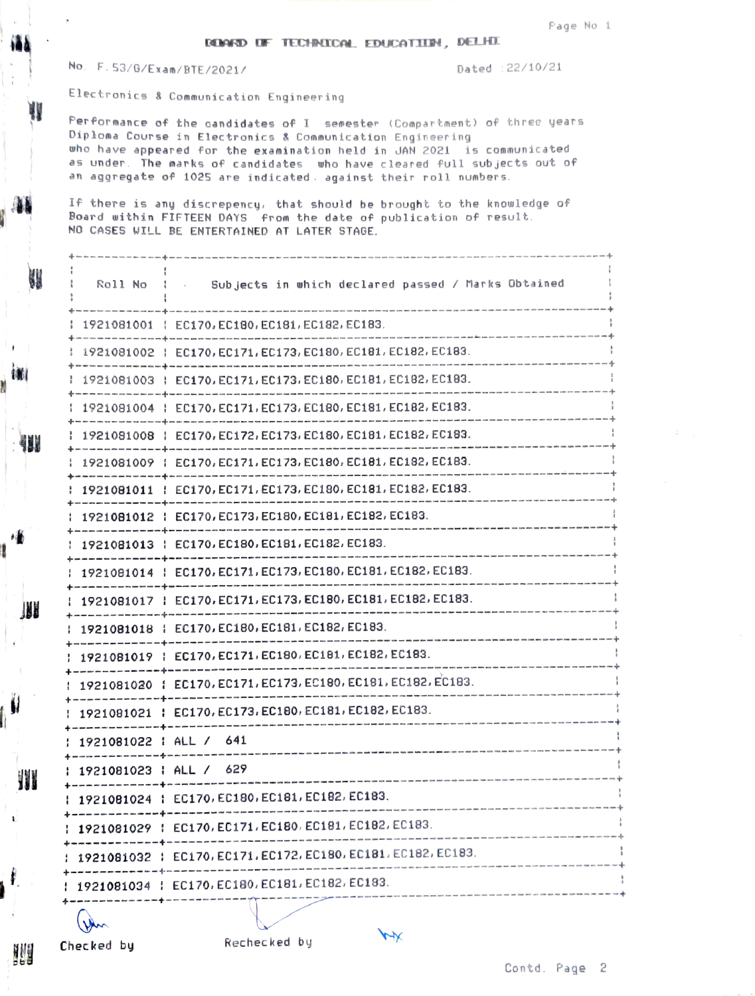No. F. 53/G/Exam/BTE/2021/

All control of the control of

Dated : 22/10/21

Electronics & Communication Engineering

Performance of the candidates of I semester (Compartment) of three years Diploma Course in Electronics & Communication Engineering who have appeared for the examination held in JAN 2021 is communicated as under. The marks of candidates who have cleared full subjects out of an aggregate of 1025 are indicated. against their roll numbers.

If there is any discrepency, that should be brought to the knowledge of Board within FIFTEEN DAYS from the date of publication of result. NO CASES WILL BE ENTERTAINED AT LATER STAGE.

| Roll No                | Subjects in which declared passed / Marks Obtained            |  |
|------------------------|---------------------------------------------------------------|--|
|                        | 1921081001   EC170, EC180, EC181, EC182, EC183.               |  |
|                        | 1921081002   EC170, EC171, EC173, EC180, EC181, EC182, EC183. |  |
|                        | 1921081003   EC170, EC171, EC173, EC180, EC181, EC182, EC183. |  |
|                        | 1921081004   EC170, EC171, EC173, EC180, EC181, EC182, EC183. |  |
|                        | 1921081008   EC170, EC172, EC173, EC180, EC181, EC182, EC183. |  |
|                        | 1921081009   EC170, EC171, EC173, EC180, EC181, EC182, EC183. |  |
|                        | 1921081011   EC170, EC171, EC173, EC180, EC181, EC182, EC183. |  |
|                        | 1921081012   EC170, EC173, EC180, EC181, EC182, EC183.        |  |
|                        | 1921081013   EC170, EC180, EC181, EC182, EC183.               |  |
|                        | 1921081014   EC170, EC171, EC173, EC180, EC181, EC182, EC183. |  |
|                        | 1921081017   EC170, EC171, EC173, EC180, EC181, EC182, EC183. |  |
|                        | 1921081018   EC170, EC180, EC181, EC182, EC183.               |  |
|                        | 1921081019   EC170, EC171, EC180, EC181, EC182, EC183.        |  |
|                        | 1921081020   EC170, EC171, EC173, EC180, EC181, EC182, EC183. |  |
|                        | 1921081021   EC170, EC173, EC180, EC181, EC182, EC183.        |  |
| 1921081022   ALL / 641 |                                                               |  |
| 1921081023   ALL / 629 |                                                               |  |
|                        | 1921081024   EC170, EC180, EC181, EC182, EC183.               |  |
|                        | 1921081029   EC170, EC171, EC180, EC181, EC182, EC183.        |  |
|                        | 1921081032 : EC170, EC171, EC172, EC180, EC181, EC182, EC183. |  |
|                        | 1921081034   EC170, EC180, EC181, EC182, EC183.               |  |
|                        |                                                               |  |

Checked by

NI

N

攔

 $\mathbf{r}$ 

ł.

地

Rechecked by

 $\overline{M}$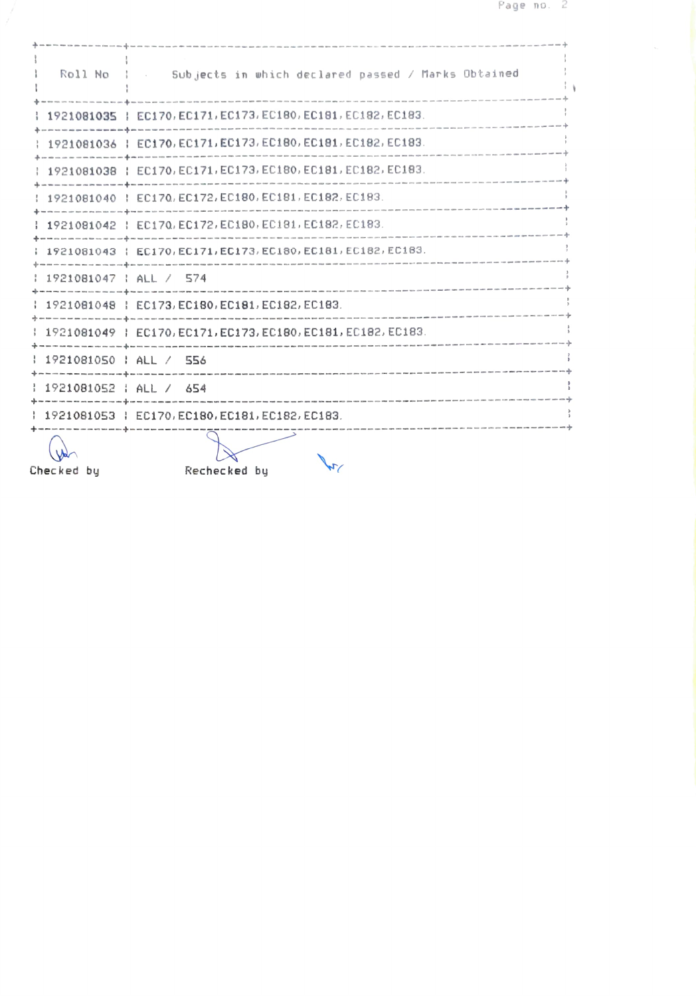|                                      | Roll No : Subjects in which declared passed / Marks Obtained                                                                                         |  |
|--------------------------------------|------------------------------------------------------------------------------------------------------------------------------------------------------|--|
|                                      | 1921081035   EC170, EC171, EC173, EC180, EC181, EC182, EC183.                                                                                        |  |
|                                      | 1921081036   EC170, EC171, EC173, EC180, EC181, EC182, EC183.                                                                                        |  |
|                                      | 1921081038   EC170, EC171, EC173, EC180, EC181, EC182, EC183.                                                                                        |  |
|                                      | : 1921081040 : EC170, EC172, EC180, EC181, EC182, EC183.                                                                                             |  |
|                                      | 1921081042   EC170, EC172, EC180, EC181, EC182, EC183.                                                                                               |  |
|                                      | 1 1921081043   EC170, EC171, EC173, EC180, EC181, EC182, EC183.                                                                                      |  |
| : 1921081047 : ALL / 574             |                                                                                                                                                      |  |
|                                      | 1921081048   EC173, EC180, EC181, EC182, EC183.                                                                                                      |  |
|                                      | 1921081049   EC170, EC171, EC173, EC180, EC181, EC182, EC183.                                                                                        |  |
| 1921081050   ALL / 556               |                                                                                                                                                      |  |
| $\frac{1}{2}$ 1921081052   ALL / 654 |                                                                                                                                                      |  |
|                                      | 1921081053   EC170, EC180, EC181, EC182, EC183.                                                                                                      |  |
| Checked by                           | .<br>In the sea was one can will be and the will be many part the company and the will be may app and the city and mar and site five<br>Rechecked by |  |

 $\sqrt{2\pi}$